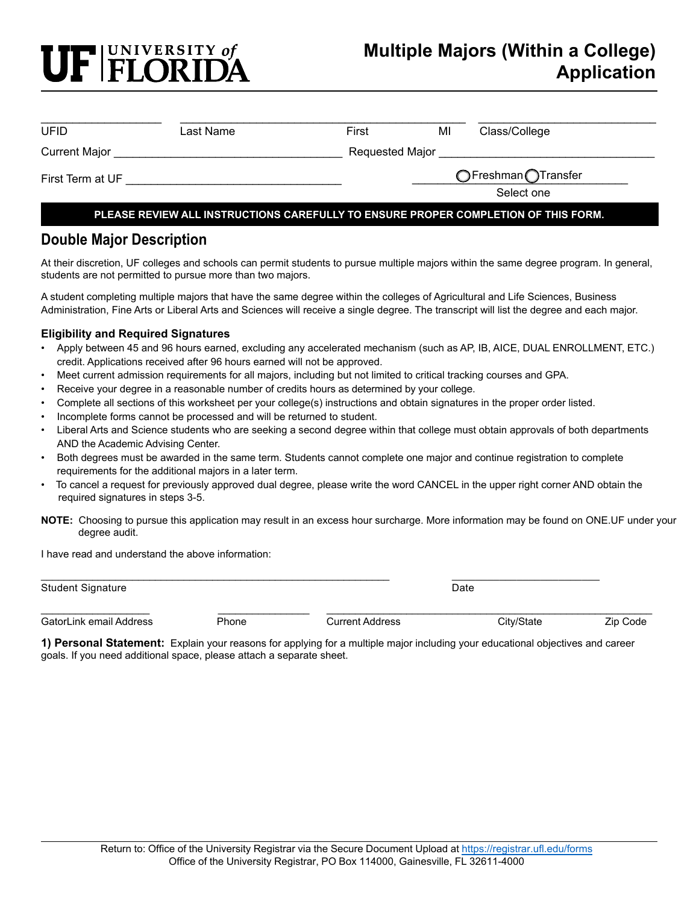# F FLORIDA

## **Multiple Majors (Within a College) Application**

| UFID                                                                               | Last Name | First               | MI         | Class/College |  |
|------------------------------------------------------------------------------------|-----------|---------------------|------------|---------------|--|
| Current Major                                                                      |           | Requested Major     |            |               |  |
| First Term at UF                                                                   |           | ○Freshman OTransfer |            |               |  |
|                                                                                    |           |                     | Select one |               |  |
| PLEASE REVIEW ALL INSTRUCTIONS CAREFULLY TO ENSURE PROPER COMPLETION OF THIS FORM. |           |                     |            |               |  |

### **Double Major Description**

At their discretion, UF colleges and schools can permit students to pursue multiple majors within the same degree program. In general, students are not permitted to pursue more than two majors.

A student completing multiple majors that have the same degree within the colleges of Agricultural and Life Sciences, Business Administration, Fine Arts or Liberal Arts and Sciences will receive a single degree. The transcript will list the degree and each major.

#### **Eligibility and Required Signatures**

- Apply between 45 and 96 hours earned, excluding any accelerated mechanism (such as AP, IB, AICE, DUAL ENROLLMENT, ETC.) credit. Applications received after 96 hours earned will not be approved.
- Meet current admission requirements for all majors, including but not limited to critical tracking courses and GPA.
- Receive your degree in a reasonable number of credits hours as determined by your college.
- Complete all sections of this worksheet per your college(s) instructions and obtain signatures in the proper order listed.
- Incomplete forms cannot be processed and will be returned to student.
- Liberal Arts and Science students who are seeking a second degree within that college must obtain approvals of both departments AND the Academic Advising Center.
- Both degrees must be awarded in the same term. Students cannot complete one major and continue registration to complete requirements for the additional majors in a later term.
- To cancel a request for previously approved dual degree, please write the word CANCEL in the upper right corner AND obtain the required signatures in steps 3-5.
- **NOTE:** Choosing to pursue this application may result in an excess hour surcharge. More information may be found on ONE.UF under your degree audit.

I have read and understand the above information:

| <b>Student Signature</b> |       |                        | Date |            |          |  |  |  |
|--------------------------|-------|------------------------|------|------------|----------|--|--|--|
| GatorLink email Address  | Phone | <b>Current Address</b> |      | City/State | Zip Code |  |  |  |

**1) Personal Statement:** Explain your reasons for applying for a multiple major including your educational objectives and career goals. If you need additional space, please attach a separate sheet.